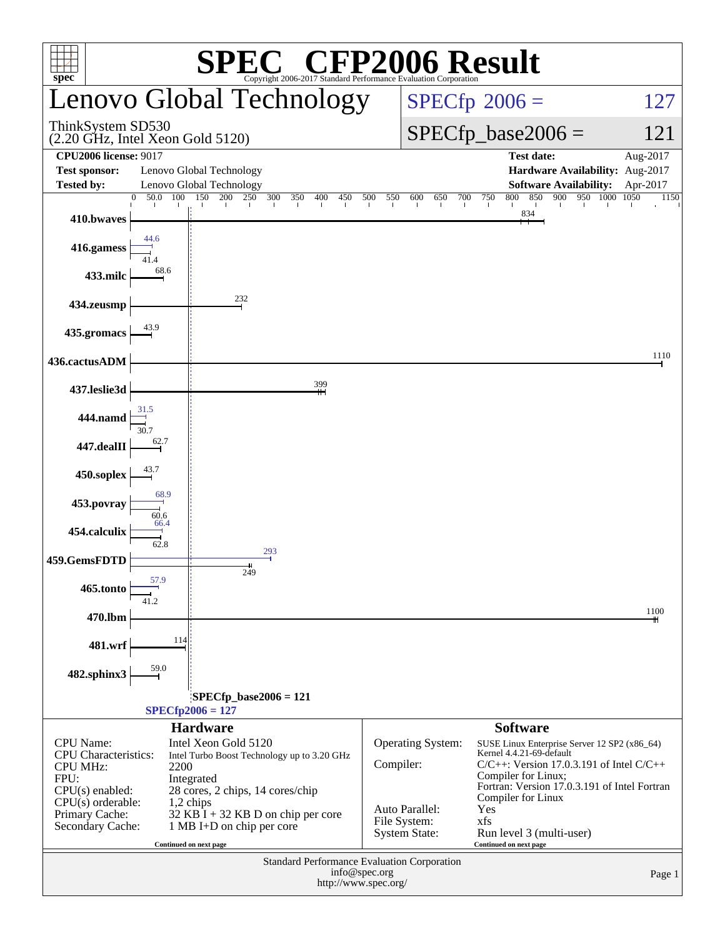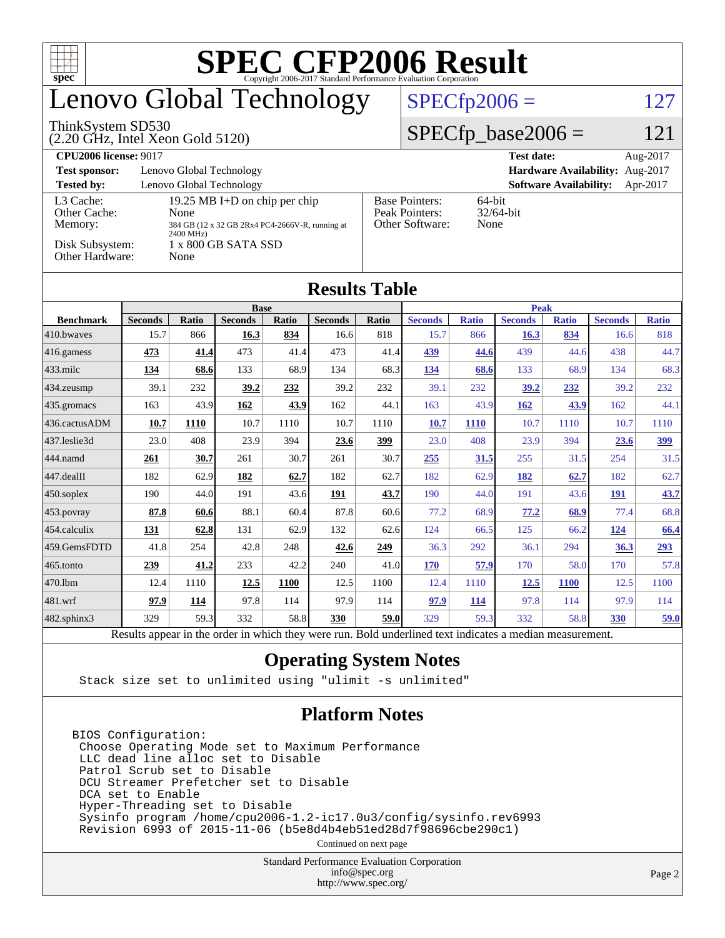| <b>SPEC CFP2006 Result</b><br>TI<br>$spec^*$<br>Copyright 2006-2017 Standard Performance Evaluation Corporation |                                                            |       |                |             |                |       |                                                                   |                               |                |              |                |              |  |
|-----------------------------------------------------------------------------------------------------------------|------------------------------------------------------------|-------|----------------|-------------|----------------|-------|-------------------------------------------------------------------|-------------------------------|----------------|--------------|----------------|--------------|--|
| enovo Global Technology                                                                                         |                                                            |       |                |             |                |       | $SPECfp2006 =$<br>127                                             |                               |                |              |                |              |  |
| ThinkSystem SD530<br>$(2.20 \text{ GHz}, \text{Intel Xeon Gold } 5120)$                                         |                                                            |       |                |             |                |       |                                                                   | $SPECfp\_base2006 =$<br>121   |                |              |                |              |  |
| <b>CPU2006 license: 9017</b>                                                                                    |                                                            |       |                |             |                |       |                                                                   | <b>Test date:</b><br>Aug-2017 |                |              |                |              |  |
| <b>Test sponsor:</b><br>Lenovo Global Technology<br>Hardware Availability: Aug-2017                             |                                                            |       |                |             |                |       |                                                                   |                               |                |              |                |              |  |
| <b>Tested by:</b><br>Lenovo Global Technology<br><b>Software Availability:</b><br>Apr-2017                      |                                                            |       |                |             |                |       |                                                                   |                               |                |              |                |              |  |
| L3 Cache:<br>19.25 MB I+D on chip per chip<br>Other Cache:<br>None                                              |                                                            |       |                |             |                |       | <b>Base Pointers:</b><br>$64$ -bit<br>Peak Pointers:<br>32/64-bit |                               |                |              |                |              |  |
|                                                                                                                 | Memory:<br>384 GB (12 x 32 GB 2Rx4 PC4-2666V-R, running at |       |                |             |                |       |                                                                   | Other Software:<br>None       |                |              |                |              |  |
| 2400 MHz)<br>Disk Subsystem:<br>1 x 800 GB SATA SSD                                                             |                                                            |       |                |             |                |       |                                                                   |                               |                |              |                |              |  |
| Other Hardware:<br>None                                                                                         |                                                            |       |                |             |                |       |                                                                   |                               |                |              |                |              |  |
|                                                                                                                 |                                                            |       |                |             |                |       |                                                                   |                               |                |              |                |              |  |
| <b>Results Table</b>                                                                                            |                                                            |       |                |             |                |       |                                                                   |                               |                |              |                |              |  |
| <b>Base</b>                                                                                                     |                                                            |       |                |             |                |       | <b>Peak</b>                                                       |                               |                |              |                |              |  |
| <b>Benchmark</b>                                                                                                | <b>Seconds</b>                                             | Ratio | <b>Seconds</b> | Ratio       | <b>Seconds</b> | Ratio | <b>Seconds</b>                                                    | <b>Ratio</b>                  | <b>Seconds</b> | <b>Ratio</b> | <b>Seconds</b> | <b>Ratio</b> |  |
| 410.bwayes                                                                                                      | 15.7                                                       | 866   | 16.3           | 834         | 16.6           | 818   | 15.7                                                              | 866                           | 16.3           | 834          | 16.6           | 818          |  |
| 416.gamess                                                                                                      | 473                                                        | 41.4  | 473            | 41.4        | 473            | 41.4  | 439                                                               | 44.6                          | 439            | 44.6         | 438            | 44.7         |  |
| 433.milc                                                                                                        | 134                                                        | 68.6  | 133            | 68.9        | 134            | 68.3  | 134                                                               | 68.6                          | 133            | 68.9         | 134            | 68.3         |  |
| 434.zeusmp                                                                                                      | 39.1                                                       | 232   | 39.2           | 232         | 39.2           | 232   | 39.1                                                              | 232                           | 39.2           | 232          | 39.2           | 232          |  |
| 435.gromacs                                                                                                     | 163                                                        | 43.9  | 162            | 43.9        | 162            | 44.1  | 163                                                               | 43.9                          | 162            | 43.9         | 162            | 44.1         |  |
| 436.cactusADM                                                                                                   | 10.7                                                       | 1110  | 10.7           | 1110        | 10.7           | 1110  | 10.7                                                              | <b>1110</b>                   | 10.7           | 1110         | 10.7           | 1110         |  |
| 437.leslie3d                                                                                                    | 23.0                                                       | 408   | 23.9           | 394         | 23.6           | 399   | 23.0                                                              | 408                           | 23.9           | 394          | 23.6           | 399          |  |
| 444.namd                                                                                                        | 261                                                        | 30.7  | 261            | 30.7        | 261            | 30.7  | <b>255</b>                                                        | <b>31.5</b>                   | 255            | 31.5         | 254            | 31.5         |  |
| 447.dealII                                                                                                      | 182                                                        | 62.9  | 182            | 62.7        | 182            | 62.7  | 182                                                               | 62.9                          | 182            | 62.7         | 182            | 62.7         |  |
| 450.soplex                                                                                                      | 190                                                        | 44.0  | 191            | 43.6        | 191            | 43.7  | 190                                                               | 44.0                          | 191            | 43.6         | 191            | 43.7         |  |
| 453.povray                                                                                                      | 87.8                                                       | 60.6  | 88.1           | 60.4        | 87.8           | 60.6  | 77.2                                                              | 68.9                          | 77.2           | 68.9         | 77.4           | 68.8         |  |
| 454.calculix                                                                                                    | 131                                                        | 62.8  | 131            | 62.9        | 132            | 62.6  | 124                                                               | 66.5                          | 125            | 66.2         | 124            | 66.4         |  |
| 459.GemsFDTD                                                                                                    | 41.8                                                       | 254   | 42.8           | 248         | 42.6           | 249   | 36.3                                                              | 292                           | 36.1           | 294          | 36.3           | 293          |  |
| 465.tonto                                                                                                       | 239                                                        | 41.2  | 233            | 42.2        | 240            | 41.0  | <b>170</b>                                                        | 57.9                          | 170            | 58.0         | 170            | 57.8         |  |
| 470.1bm                                                                                                         | 12.4                                                       | 1110  | 12.5           | <b>1100</b> | 12.5           | 1100  | 12.4                                                              | 1110                          | 12.5           | <b>1100</b>  | 12.5           | 1100         |  |
| 481.wrf                                                                                                         | 97.9                                                       | 114   | 97.8           | 114         | 97.9           | 114   | 97.9                                                              | 114                           | 97.8           | 114          | 97.9           | 114          |  |
| 482.sphinx3                                                                                                     | 329                                                        | 59.3  | 332            | 58.8        | <b>330</b>     | 59.0  | 329                                                               | 59.3                          | 332            | 58.8         | <b>330</b>     | 59.0         |  |

Results appear in the [order in which they were run.](http://www.spec.org/auto/cpu2006/Docs/result-fields.html#RunOrder) Bold underlined text [indicates a median measurement.](http://www.spec.org/auto/cpu2006/Docs/result-fields.html#Median)

#### **[Operating System Notes](http://www.spec.org/auto/cpu2006/Docs/result-fields.html#OperatingSystemNotes)**

Stack size set to unlimited using "ulimit -s unlimited"

### **[Platform Notes](http://www.spec.org/auto/cpu2006/Docs/result-fields.html#PlatformNotes)**

BIOS Configuration: Choose Operating Mode set to Maximum Performance LLC dead line alloc set to Disable Patrol Scrub set to Disable DCU Streamer Prefetcher set to Disable DCA set to Enable Hyper-Threading set to Disable Sysinfo program /home/cpu2006-1.2-ic17.0u3/config/sysinfo.rev6993 Revision 6993 of 2015-11-06 (b5e8d4b4eb51ed28d7f98696cbe290c1)

Continued on next page

Standard Performance Evaluation Corporation [info@spec.org](mailto:info@spec.org) <http://www.spec.org/>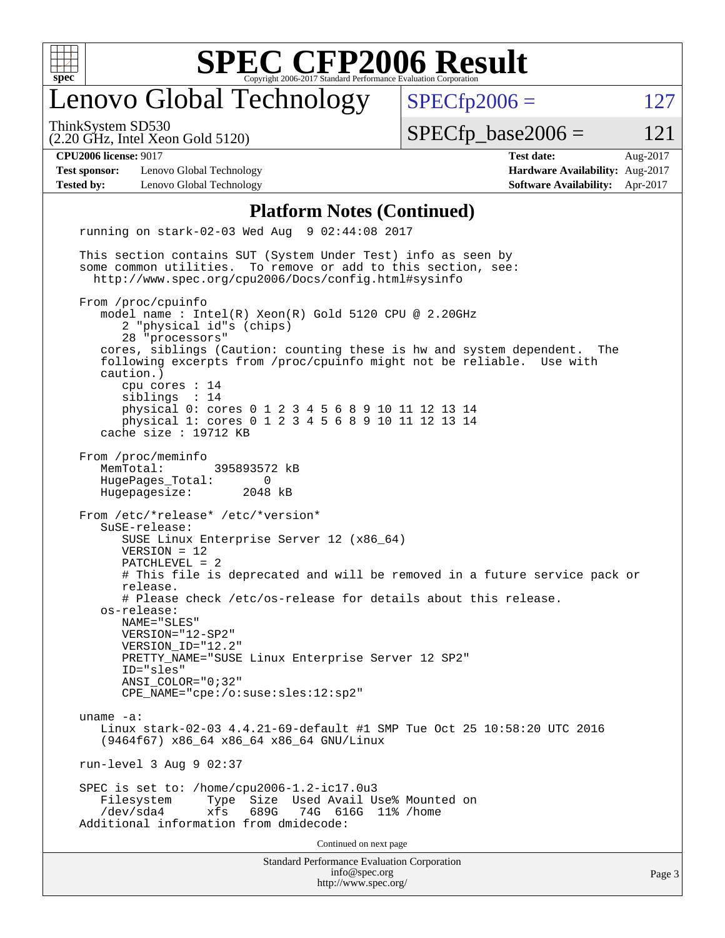

### enovo Global Technology

ThinkSystem SD530

(2.20 GHz, Intel Xeon Gold 5120)

 $SPECTp2006 = 127$ 

 $SPECTp\_base2006 = 121$ 

**[Test sponsor:](http://www.spec.org/auto/cpu2006/Docs/result-fields.html#Testsponsor)** Lenovo Global Technology **[Hardware Availability:](http://www.spec.org/auto/cpu2006/Docs/result-fields.html#HardwareAvailability)** Aug-2017 **[Tested by:](http://www.spec.org/auto/cpu2006/Docs/result-fields.html#Testedby)** Lenovo Global Technology **[Software Availability:](http://www.spec.org/auto/cpu2006/Docs/result-fields.html#SoftwareAvailability)** Apr-2017

**[CPU2006 license:](http://www.spec.org/auto/cpu2006/Docs/result-fields.html#CPU2006license)** 9017 **[Test date:](http://www.spec.org/auto/cpu2006/Docs/result-fields.html#Testdate)** Aug-2017

#### **[Platform Notes \(Continued\)](http://www.spec.org/auto/cpu2006/Docs/result-fields.html#PlatformNotes)**

Standard Performance Evaluation Corporation [info@spec.org](mailto:info@spec.org) <http://www.spec.org/> running on stark-02-03 Wed Aug 9 02:44:08 2017 This section contains SUT (System Under Test) info as seen by some common utilities. To remove or add to this section, see: <http://www.spec.org/cpu2006/Docs/config.html#sysinfo> From /proc/cpuinfo model name : Intel(R) Xeon(R) Gold 5120 CPU @ 2.20GHz 2 "physical id"s (chips) 28 "processors" cores, siblings (Caution: counting these is hw and system dependent. The following excerpts from /proc/cpuinfo might not be reliable. Use with caution.) cpu cores : 14 siblings : 14 physical 0: cores 0 1 2 3 4 5 6 8 9 10 11 12 13 14 physical 1: cores 0 1 2 3 4 5 6 8 9 10 11 12 13 14 cache size : 19712 KB From /proc/meminfo MemTotal: 395893572 kB HugePages\_Total: 0<br>Hugepagesize: 2048 kB Hugepagesize: From /etc/\*release\* /etc/\*version\* SuSE-release: SUSE Linux Enterprise Server 12 (x86\_64) VERSION = 12 PATCHLEVEL = 2 # This file is deprecated and will be removed in a future service pack or release. # Please check /etc/os-release for details about this release. os-release: NAME="SLES" VERSION="12-SP2" VERSION\_ID="12.2" PRETTY\_NAME="SUSE Linux Enterprise Server 12 SP2" ID="sles" ANSI\_COLOR="0;32" CPE\_NAME="cpe:/o:suse:sles:12:sp2" uname -a: Linux stark-02-03 4.4.21-69-default #1 SMP Tue Oct 25 10:58:20 UTC 2016 (9464f67) x86\_64 x86\_64 x86\_64 GNU/Linux run-level 3 Aug 9 02:37 SPEC is set to: /home/cpu2006-1.2-ic17.0u3 Filesystem Type Size Used Avail Use% Mounted on<br>
/dev/sda4 xfs 689G 74G 616G 11% /home 74G 616G 11% /home Additional information from dmidecode: Continued on next page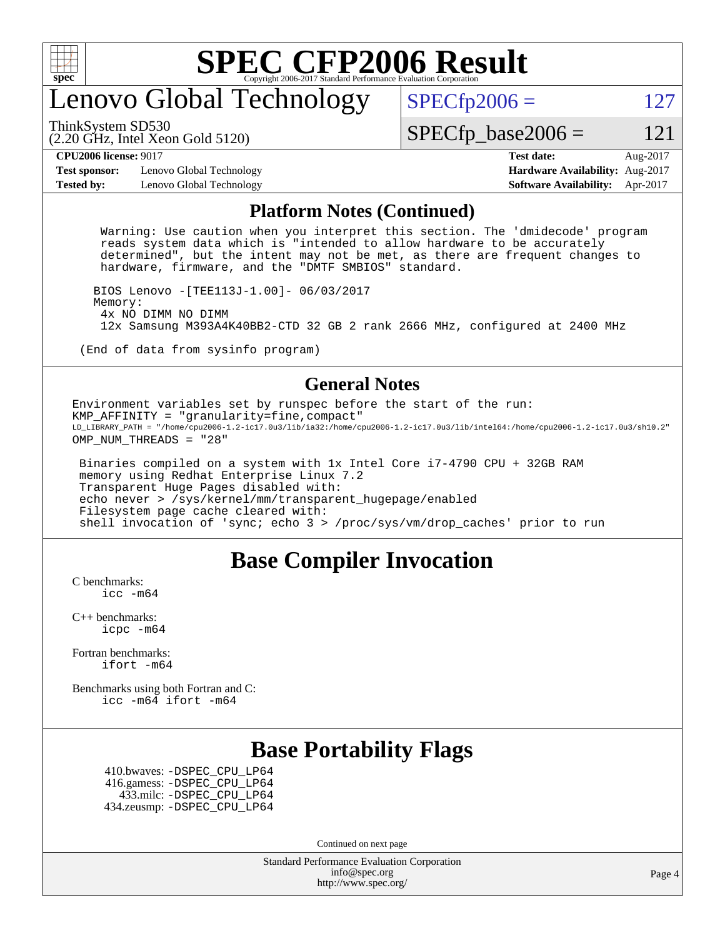

### enovo Global Technology

ThinkSystem SD530

 $SPECTp2006 = 127$ 

(2.20 GHz, Intel Xeon Gold 5120)

 $SPECTp\_base2006 = 121$ 

**[CPU2006 license:](http://www.spec.org/auto/cpu2006/Docs/result-fields.html#CPU2006license)** 9017 **[Test date:](http://www.spec.org/auto/cpu2006/Docs/result-fields.html#Testdate)** Aug-2017

**[Test sponsor:](http://www.spec.org/auto/cpu2006/Docs/result-fields.html#Testsponsor)** Lenovo Global Technology **[Hardware Availability:](http://www.spec.org/auto/cpu2006/Docs/result-fields.html#HardwareAvailability)** Aug-2017 **[Tested by:](http://www.spec.org/auto/cpu2006/Docs/result-fields.html#Testedby)** Lenovo Global Technology **[Software Availability:](http://www.spec.org/auto/cpu2006/Docs/result-fields.html#SoftwareAvailability)** Apr-2017

#### **[Platform Notes \(Continued\)](http://www.spec.org/auto/cpu2006/Docs/result-fields.html#PlatformNotes)**

 Warning: Use caution when you interpret this section. The 'dmidecode' program reads system data which is "intended to allow hardware to be accurately determined", but the intent may not be met, as there are frequent changes to hardware, firmware, and the "DMTF SMBIOS" standard.

 BIOS Lenovo -[TEE113J-1.00]- 06/03/2017 Memory: 4x NO DIMM NO DIMM 12x Samsung M393A4K40BB2-CTD 32 GB 2 rank 2666 MHz, configured at 2400 MHz

(End of data from sysinfo program)

#### **[General Notes](http://www.spec.org/auto/cpu2006/Docs/result-fields.html#GeneralNotes)**

Environment variables set by runspec before the start of the run: KMP\_AFFINITY = "granularity=fine,compact" LD\_LIBRARY\_PATH = "/home/cpu2006-1.2-ic17.0u3/lib/ia32:/home/cpu2006-1.2-ic17.0u3/lib/intel64:/home/cpu2006-1.2-ic17.0u3/sh10.2" OMP\_NUM\_THREADS = "28"

 Binaries compiled on a system with 1x Intel Core i7-4790 CPU + 32GB RAM memory using Redhat Enterprise Linux 7.2 Transparent Huge Pages disabled with: echo never > /sys/kernel/mm/transparent\_hugepage/enabled Filesystem page cache cleared with: shell invocation of 'sync; echo 3 > /proc/sys/vm/drop\_caches' prior to run

### **[Base Compiler Invocation](http://www.spec.org/auto/cpu2006/Docs/result-fields.html#BaseCompilerInvocation)**

[C benchmarks](http://www.spec.org/auto/cpu2006/Docs/result-fields.html#Cbenchmarks): icc  $-m64$ 

[C++ benchmarks:](http://www.spec.org/auto/cpu2006/Docs/result-fields.html#CXXbenchmarks) [icpc -m64](http://www.spec.org/cpu2006/results/res2017q4/cpu2006-20170918-49624.flags.html#user_CXXbase_intel_icpc_64bit_fc66a5337ce925472a5c54ad6a0de310)

[Fortran benchmarks](http://www.spec.org/auto/cpu2006/Docs/result-fields.html#Fortranbenchmarks): [ifort -m64](http://www.spec.org/cpu2006/results/res2017q4/cpu2006-20170918-49624.flags.html#user_FCbase_intel_ifort_64bit_ee9d0fb25645d0210d97eb0527dcc06e)

[Benchmarks using both Fortran and C](http://www.spec.org/auto/cpu2006/Docs/result-fields.html#BenchmarksusingbothFortranandC): [icc -m64](http://www.spec.org/cpu2006/results/res2017q4/cpu2006-20170918-49624.flags.html#user_CC_FCbase_intel_icc_64bit_bda6cc9af1fdbb0edc3795bac97ada53) [ifort -m64](http://www.spec.org/cpu2006/results/res2017q4/cpu2006-20170918-49624.flags.html#user_CC_FCbase_intel_ifort_64bit_ee9d0fb25645d0210d97eb0527dcc06e)

### **[Base Portability Flags](http://www.spec.org/auto/cpu2006/Docs/result-fields.html#BasePortabilityFlags)**

 410.bwaves: [-DSPEC\\_CPU\\_LP64](http://www.spec.org/cpu2006/results/res2017q4/cpu2006-20170918-49624.flags.html#suite_basePORTABILITY410_bwaves_DSPEC_CPU_LP64) 416.gamess: [-DSPEC\\_CPU\\_LP64](http://www.spec.org/cpu2006/results/res2017q4/cpu2006-20170918-49624.flags.html#suite_basePORTABILITY416_gamess_DSPEC_CPU_LP64) 433.milc: [-DSPEC\\_CPU\\_LP64](http://www.spec.org/cpu2006/results/res2017q4/cpu2006-20170918-49624.flags.html#suite_basePORTABILITY433_milc_DSPEC_CPU_LP64) 434.zeusmp: [-DSPEC\\_CPU\\_LP64](http://www.spec.org/cpu2006/results/res2017q4/cpu2006-20170918-49624.flags.html#suite_basePORTABILITY434_zeusmp_DSPEC_CPU_LP64)

Continued on next page

Standard Performance Evaluation Corporation [info@spec.org](mailto:info@spec.org) <http://www.spec.org/>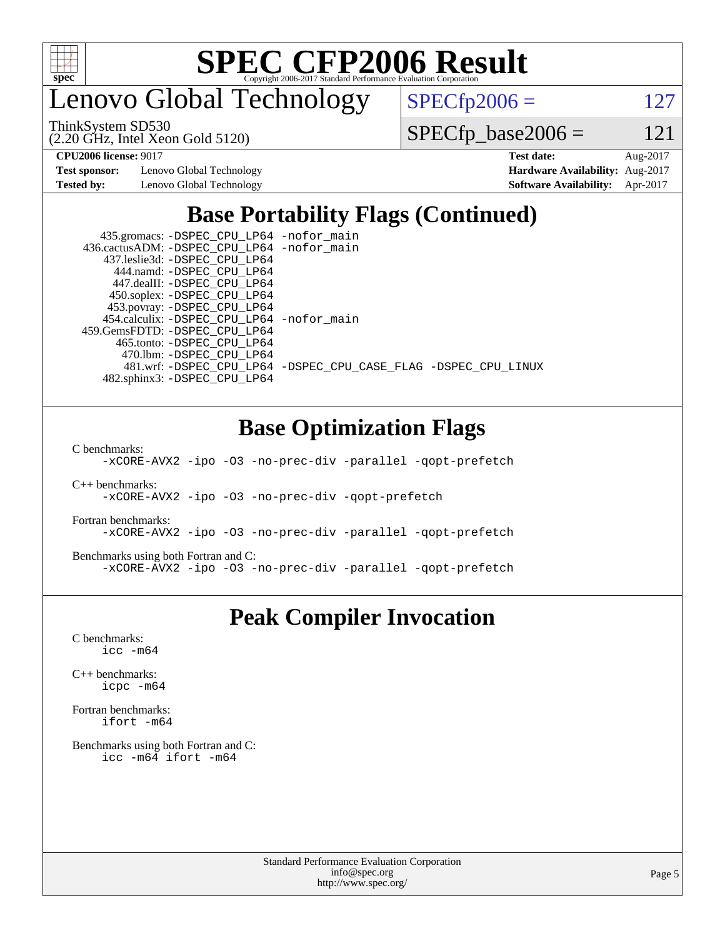

enovo Global Technology

ThinkSystem SD530

(2.20 GHz, Intel Xeon Gold 5120)

 $SPECfp2006 = 127$  $SPECfp2006 = 127$ 

 $SPECTp\_base2006 = 121$ 

**[Test sponsor:](http://www.spec.org/auto/cpu2006/Docs/result-fields.html#Testsponsor)** Lenovo Global Technology **[Hardware Availability:](http://www.spec.org/auto/cpu2006/Docs/result-fields.html#HardwareAvailability)** Aug-2017

**[CPU2006 license:](http://www.spec.org/auto/cpu2006/Docs/result-fields.html#CPU2006license)** 9017 **[Test date:](http://www.spec.org/auto/cpu2006/Docs/result-fields.html#Testdate)** Aug-2017 **[Tested by:](http://www.spec.org/auto/cpu2006/Docs/result-fields.html#Testedby)** Lenovo Global Technology **[Software Availability:](http://www.spec.org/auto/cpu2006/Docs/result-fields.html#SoftwareAvailability)** Apr-2017

### **[Base Portability Flags \(Continued\)](http://www.spec.org/auto/cpu2006/Docs/result-fields.html#BasePortabilityFlags)**

 435.gromacs: [-DSPEC\\_CPU\\_LP64](http://www.spec.org/cpu2006/results/res2017q4/cpu2006-20170918-49624.flags.html#suite_basePORTABILITY435_gromacs_DSPEC_CPU_LP64) [-nofor\\_main](http://www.spec.org/cpu2006/results/res2017q4/cpu2006-20170918-49624.flags.html#user_baseLDPORTABILITY435_gromacs_f-nofor_main) 436.cactusADM: [-DSPEC\\_CPU\\_LP64](http://www.spec.org/cpu2006/results/res2017q4/cpu2006-20170918-49624.flags.html#suite_basePORTABILITY436_cactusADM_DSPEC_CPU_LP64) [-nofor\\_main](http://www.spec.org/cpu2006/results/res2017q4/cpu2006-20170918-49624.flags.html#user_baseLDPORTABILITY436_cactusADM_f-nofor_main) 437.leslie3d: [-DSPEC\\_CPU\\_LP64](http://www.spec.org/cpu2006/results/res2017q4/cpu2006-20170918-49624.flags.html#suite_basePORTABILITY437_leslie3d_DSPEC_CPU_LP64) 444.namd: [-DSPEC\\_CPU\\_LP64](http://www.spec.org/cpu2006/results/res2017q4/cpu2006-20170918-49624.flags.html#suite_basePORTABILITY444_namd_DSPEC_CPU_LP64) 447.dealII: [-DSPEC\\_CPU\\_LP64](http://www.spec.org/cpu2006/results/res2017q4/cpu2006-20170918-49624.flags.html#suite_basePORTABILITY447_dealII_DSPEC_CPU_LP64) 450.soplex: [-DSPEC\\_CPU\\_LP64](http://www.spec.org/cpu2006/results/res2017q4/cpu2006-20170918-49624.flags.html#suite_basePORTABILITY450_soplex_DSPEC_CPU_LP64) 453.povray: [-DSPEC\\_CPU\\_LP64](http://www.spec.org/cpu2006/results/res2017q4/cpu2006-20170918-49624.flags.html#suite_basePORTABILITY453_povray_DSPEC_CPU_LP64) 454.calculix: [-DSPEC\\_CPU\\_LP64](http://www.spec.org/cpu2006/results/res2017q4/cpu2006-20170918-49624.flags.html#suite_basePORTABILITY454_calculix_DSPEC_CPU_LP64) [-nofor\\_main](http://www.spec.org/cpu2006/results/res2017q4/cpu2006-20170918-49624.flags.html#user_baseLDPORTABILITY454_calculix_f-nofor_main) 459.GemsFDTD: [-DSPEC\\_CPU\\_LP64](http://www.spec.org/cpu2006/results/res2017q4/cpu2006-20170918-49624.flags.html#suite_basePORTABILITY459_GemsFDTD_DSPEC_CPU_LP64) 465.tonto: [-DSPEC\\_CPU\\_LP64](http://www.spec.org/cpu2006/results/res2017q4/cpu2006-20170918-49624.flags.html#suite_basePORTABILITY465_tonto_DSPEC_CPU_LP64) 470.lbm: [-DSPEC\\_CPU\\_LP64](http://www.spec.org/cpu2006/results/res2017q4/cpu2006-20170918-49624.flags.html#suite_basePORTABILITY470_lbm_DSPEC_CPU_LP64) 481.wrf: [-DSPEC\\_CPU\\_LP64](http://www.spec.org/cpu2006/results/res2017q4/cpu2006-20170918-49624.flags.html#suite_basePORTABILITY481_wrf_DSPEC_CPU_LP64) [-DSPEC\\_CPU\\_CASE\\_FLAG](http://www.spec.org/cpu2006/results/res2017q4/cpu2006-20170918-49624.flags.html#b481.wrf_baseCPORTABILITY_DSPEC_CPU_CASE_FLAG) [-DSPEC\\_CPU\\_LINUX](http://www.spec.org/cpu2006/results/res2017q4/cpu2006-20170918-49624.flags.html#b481.wrf_baseCPORTABILITY_DSPEC_CPU_LINUX) 482.sphinx3: [-DSPEC\\_CPU\\_LP64](http://www.spec.org/cpu2006/results/res2017q4/cpu2006-20170918-49624.flags.html#suite_basePORTABILITY482_sphinx3_DSPEC_CPU_LP64)

### **[Base Optimization Flags](http://www.spec.org/auto/cpu2006/Docs/result-fields.html#BaseOptimizationFlags)**

[C benchmarks](http://www.spec.org/auto/cpu2006/Docs/result-fields.html#Cbenchmarks):

[-xCORE-AVX2](http://www.spec.org/cpu2006/results/res2017q4/cpu2006-20170918-49624.flags.html#user_CCbase_f-xCORE-AVX2) [-ipo](http://www.spec.org/cpu2006/results/res2017q4/cpu2006-20170918-49624.flags.html#user_CCbase_f-ipo) [-O3](http://www.spec.org/cpu2006/results/res2017q4/cpu2006-20170918-49624.flags.html#user_CCbase_f-O3) [-no-prec-div](http://www.spec.org/cpu2006/results/res2017q4/cpu2006-20170918-49624.flags.html#user_CCbase_f-no-prec-div) [-parallel](http://www.spec.org/cpu2006/results/res2017q4/cpu2006-20170918-49624.flags.html#user_CCbase_f-parallel) [-qopt-prefetch](http://www.spec.org/cpu2006/results/res2017q4/cpu2006-20170918-49624.flags.html#user_CCbase_f-qopt-prefetch)

[C++ benchmarks:](http://www.spec.org/auto/cpu2006/Docs/result-fields.html#CXXbenchmarks)

[-xCORE-AVX2](http://www.spec.org/cpu2006/results/res2017q4/cpu2006-20170918-49624.flags.html#user_CXXbase_f-xCORE-AVX2) [-ipo](http://www.spec.org/cpu2006/results/res2017q4/cpu2006-20170918-49624.flags.html#user_CXXbase_f-ipo) [-O3](http://www.spec.org/cpu2006/results/res2017q4/cpu2006-20170918-49624.flags.html#user_CXXbase_f-O3) [-no-prec-div](http://www.spec.org/cpu2006/results/res2017q4/cpu2006-20170918-49624.flags.html#user_CXXbase_f-no-prec-div) [-qopt-prefetch](http://www.spec.org/cpu2006/results/res2017q4/cpu2006-20170918-49624.flags.html#user_CXXbase_f-qopt-prefetch)

[Fortran benchmarks](http://www.spec.org/auto/cpu2006/Docs/result-fields.html#Fortranbenchmarks):

[-xCORE-AVX2](http://www.spec.org/cpu2006/results/res2017q4/cpu2006-20170918-49624.flags.html#user_FCbase_f-xCORE-AVX2) [-ipo](http://www.spec.org/cpu2006/results/res2017q4/cpu2006-20170918-49624.flags.html#user_FCbase_f-ipo) [-O3](http://www.spec.org/cpu2006/results/res2017q4/cpu2006-20170918-49624.flags.html#user_FCbase_f-O3) [-no-prec-div](http://www.spec.org/cpu2006/results/res2017q4/cpu2006-20170918-49624.flags.html#user_FCbase_f-no-prec-div) [-parallel](http://www.spec.org/cpu2006/results/res2017q4/cpu2006-20170918-49624.flags.html#user_FCbase_f-parallel) [-qopt-prefetch](http://www.spec.org/cpu2006/results/res2017q4/cpu2006-20170918-49624.flags.html#user_FCbase_f-qopt-prefetch)

[Benchmarks using both Fortran and C](http://www.spec.org/auto/cpu2006/Docs/result-fields.html#BenchmarksusingbothFortranandC):

[-xCORE-AVX2](http://www.spec.org/cpu2006/results/res2017q4/cpu2006-20170918-49624.flags.html#user_CC_FCbase_f-xCORE-AVX2) [-ipo](http://www.spec.org/cpu2006/results/res2017q4/cpu2006-20170918-49624.flags.html#user_CC_FCbase_f-ipo) [-O3](http://www.spec.org/cpu2006/results/res2017q4/cpu2006-20170918-49624.flags.html#user_CC_FCbase_f-O3) [-no-prec-div](http://www.spec.org/cpu2006/results/res2017q4/cpu2006-20170918-49624.flags.html#user_CC_FCbase_f-no-prec-div) [-parallel](http://www.spec.org/cpu2006/results/res2017q4/cpu2006-20170918-49624.flags.html#user_CC_FCbase_f-parallel) [-qopt-prefetch](http://www.spec.org/cpu2006/results/res2017q4/cpu2006-20170918-49624.flags.html#user_CC_FCbase_f-qopt-prefetch)

### **[Peak Compiler Invocation](http://www.spec.org/auto/cpu2006/Docs/result-fields.html#PeakCompilerInvocation)**

[C benchmarks](http://www.spec.org/auto/cpu2006/Docs/result-fields.html#Cbenchmarks): [icc -m64](http://www.spec.org/cpu2006/results/res2017q4/cpu2006-20170918-49624.flags.html#user_CCpeak_intel_icc_64bit_bda6cc9af1fdbb0edc3795bac97ada53)

[C++ benchmarks:](http://www.spec.org/auto/cpu2006/Docs/result-fields.html#CXXbenchmarks) [icpc -m64](http://www.spec.org/cpu2006/results/res2017q4/cpu2006-20170918-49624.flags.html#user_CXXpeak_intel_icpc_64bit_fc66a5337ce925472a5c54ad6a0de310)

[Fortran benchmarks](http://www.spec.org/auto/cpu2006/Docs/result-fields.html#Fortranbenchmarks): [ifort -m64](http://www.spec.org/cpu2006/results/res2017q4/cpu2006-20170918-49624.flags.html#user_FCpeak_intel_ifort_64bit_ee9d0fb25645d0210d97eb0527dcc06e)

[Benchmarks using both Fortran and C](http://www.spec.org/auto/cpu2006/Docs/result-fields.html#BenchmarksusingbothFortranandC): [icc -m64](http://www.spec.org/cpu2006/results/res2017q4/cpu2006-20170918-49624.flags.html#user_CC_FCpeak_intel_icc_64bit_bda6cc9af1fdbb0edc3795bac97ada53) [ifort -m64](http://www.spec.org/cpu2006/results/res2017q4/cpu2006-20170918-49624.flags.html#user_CC_FCpeak_intel_ifort_64bit_ee9d0fb25645d0210d97eb0527dcc06e)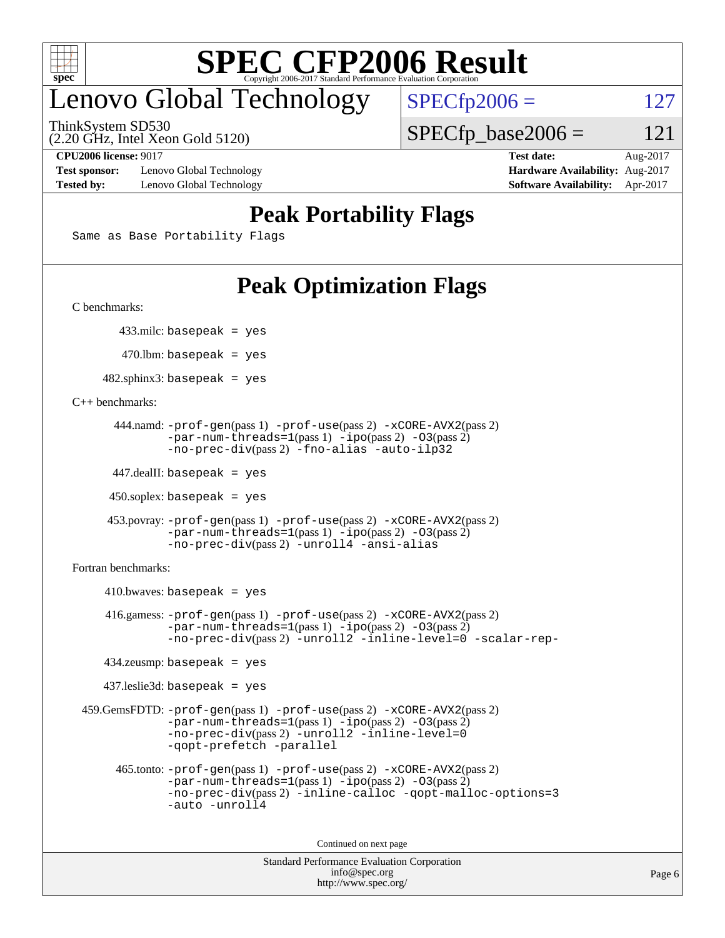

### enovo Global Technology

ThinkSystem SD530

(2.20 GHz, Intel Xeon Gold 5120)

**[Test sponsor:](http://www.spec.org/auto/cpu2006/Docs/result-fields.html#Testsponsor)** Lenovo Global Technology **[Hardware Availability:](http://www.spec.org/auto/cpu2006/Docs/result-fields.html#HardwareAvailability)** Aug-2017 **[Tested by:](http://www.spec.org/auto/cpu2006/Docs/result-fields.html#Testedby)** Lenovo Global Technology **[Software Availability:](http://www.spec.org/auto/cpu2006/Docs/result-fields.html#SoftwareAvailability)** Apr-2017

 $SPECfp2006 = 127$  $SPECfp2006 = 127$ 

 $SPECTp\_base2006 = 121$ 

**[CPU2006 license:](http://www.spec.org/auto/cpu2006/Docs/result-fields.html#CPU2006license)** 9017 **[Test date:](http://www.spec.org/auto/cpu2006/Docs/result-fields.html#Testdate)** Aug-2017

### **[Peak Portability Flags](http://www.spec.org/auto/cpu2006/Docs/result-fields.html#PeakPortabilityFlags)**

Same as Base Portability Flags

### **[Peak Optimization Flags](http://www.spec.org/auto/cpu2006/Docs/result-fields.html#PeakOptimizationFlags)**

[C benchmarks](http://www.spec.org/auto/cpu2006/Docs/result-fields.html#Cbenchmarks):

433.milc: basepeak = yes

 $470.$ lbm: basepeak = yes

 $482$ .sphinx3: basepeak = yes

[C++ benchmarks:](http://www.spec.org/auto/cpu2006/Docs/result-fields.html#CXXbenchmarks)

```
 444.namd: -prof-gen(pass 1) -prof-use(pass 2) -xCORE-AVX2(pass 2)
        -par-num-threads=1(pass 1) -ipo(pass 2) -O3(pass 2)
        -no-prec-div(pass 2) -fno-alias -auto-ilp32
```
447.dealII: basepeak = yes

 $450$ .soplex: basepeak = yes

```
 453.povray: -prof-gen(pass 1) -prof-use(pass 2) -xCORE-AVX2(pass 2)
         -par-num-threads=1-ipo-O3(pass 2)-no-prec-div(pass 2) -unroll4 -ansi-alias
```
[Fortran benchmarks](http://www.spec.org/auto/cpu2006/Docs/result-fields.html#Fortranbenchmarks):

```
410.bwaves: basepeak = yes 416.gamess: -prof-gen(pass 1) -prof-use(pass 2) -xCORE-AVX2(pass 2)
            -par-num-threads=1-ipo-O3(pass 2)-no-prec-div(pass 2) -unroll2 -inline-level=0 -scalar-rep-
    434.zeusmp: basepeak = yes
    437.leslie3d: basepeak = yes
 459.GemsFDTD: -prof-gen(pass 1) -prof-use(pass 2) -xCORE-AVX2(pass 2)
            -par-num-threads=1-ipo-O3(pass 2)-no-prec-div(pass 2) -unroll2 -inline-level=0
            -qopt-prefetch -parallel
      465.tonto: -prof-gen(pass 1) -prof-use(pass 2) -xCORE-AVX2(pass 2)
            -par-num-threads=1(pass 1) -ipo(pass 2) -O3(pass 2)
            -no-prec-div-inline-calloc-qopt-malloc-options=3
            -auto -unroll4
```
Continued on next page

```
Standard Performance Evaluation Corporation
             info@spec.org
           http://www.spec.org/
```